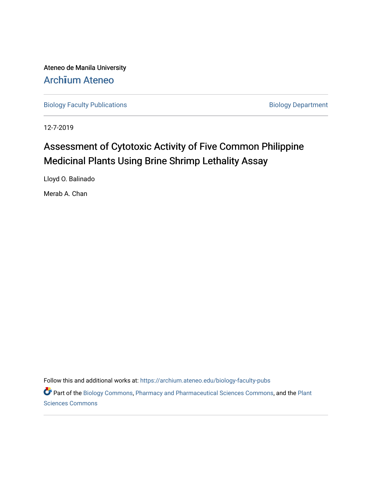Ateneo de Manila University Arch**ī**[um Ateneo](https://archium.ateneo.edu/) 

[Biology Faculty Publications](https://archium.ateneo.edu/biology-faculty-pubs) **Biology Department** 

12-7-2019

# Assessment of Cytotoxic Activity of Five Common Philippine Medicinal Plants Using Brine Shrimp Lethality Assay

Lloyd O. Balinado

Merab A. Chan

Follow this and additional works at: [https://archium.ateneo.edu/biology-faculty-pubs](https://archium.ateneo.edu/biology-faculty-pubs?utm_source=archium.ateneo.edu%2Fbiology-faculty-pubs%2F103&utm_medium=PDF&utm_campaign=PDFCoverPages) 

Part of the [Biology Commons,](http://network.bepress.com/hgg/discipline/41?utm_source=archium.ateneo.edu%2Fbiology-faculty-pubs%2F103&utm_medium=PDF&utm_campaign=PDFCoverPages) [Pharmacy and Pharmaceutical Sciences Commons](http://network.bepress.com/hgg/discipline/731?utm_source=archium.ateneo.edu%2Fbiology-faculty-pubs%2F103&utm_medium=PDF&utm_campaign=PDFCoverPages), and the [Plant](http://network.bepress.com/hgg/discipline/102?utm_source=archium.ateneo.edu%2Fbiology-faculty-pubs%2F103&utm_medium=PDF&utm_campaign=PDFCoverPages) [Sciences Commons](http://network.bepress.com/hgg/discipline/102?utm_source=archium.ateneo.edu%2Fbiology-faculty-pubs%2F103&utm_medium=PDF&utm_campaign=PDFCoverPages)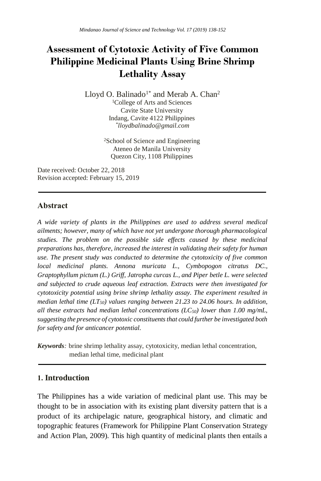## **Assessment of Cytotoxic Activity of Five Common Philippine Medicinal Plants Using Brine Shrimp Lethality Assay**

Lloyd O. Balinado<sup>1\*</sup> and Merab A. Chan<sup>2</sup> <sup>1</sup>College of Arts and Sciences Cavite State University Indang, Cavite 4122 Philippines *\* lloydbalinado@gmail.com*

> <sup>2</sup>School of Science and Engineering Ateneo de Manila University Quezon City, 1108 Philippines

Date received: October 22, 2018 Revision accepted: February 15, 2019

#### **Abstract**

*A wide variety of plants in the Philippines are used to address several medical ailments; however, many of which have not yet undergone thorough pharmacological studies. The problem on the possible side effects caused by these medicinal preparations has, therefore, increased the interest in validating their safety for human use. The present study was conducted to determine the cytotoxicity of five common local medicinal plants. Annona muricata L., Cymbopogon citratus DC., Graptophyllum pictum (L.) Griff, Jatropha curcas L., and Piper betle L. were selected and subjected to crude aqueous leaf extraction. Extracts were then investigated for cytotoxicity potential using brine shrimp lethality assay. The experiment resulted in median lethal time (LT50) values ranging between 21.23 to 24.06 hours. In addition, all these extracts had median lethal concentrations (LC50) lower than 1.00 mg/mL, suggesting the presence of cytotoxic constituents that could further be investigated both for safety and for anticancer potential.*

*Keywords:* brine shrimp lethality assay, cytotoxicity, median lethal concentration, median lethal time, medicinal plant

#### **1. Introduction**

The Philippines has a wide variation of medicinal plant use. This may be thought to be in association with its existing plant diversity pattern that is a product of its archipelagic nature, geographical history, and climatic and topographic features (Framework for Philippine Plant Conservation Strategy and Action Plan, 2009). This high quantity of medicinal plants then entails a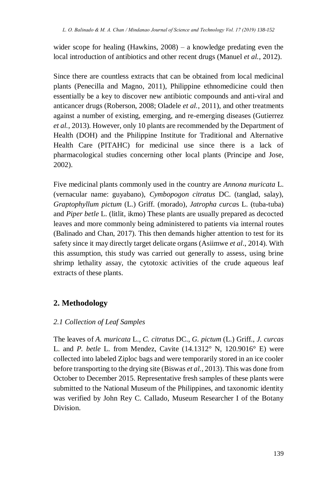wider scope for healing (Hawkins, 2008) – a knowledge predating even the local introduction of antibiotics and other recent drugs (Manuel *et al.*, 2012).

Since there are countless extracts that can be obtained from local medicinal plants (Penecilla and Magno, 2011), Philippine ethnomedicine could then essentially be a key to discover new antibiotic compounds and anti-viral and anticancer drugs (Roberson, 2008; Oladele *et al.*, 2011), and other treatments against a number of existing, emerging, and re-emerging diseases (Gutierrez *et al.*, 2013). However, only 10 plants are recommended by the Department of Health (DOH) and the Philippine Institute for Traditional and Alternative Health Care (PITAHC) for medicinal use since there is a lack of pharmacological studies concerning other local plants (Principe and Jose, 2002).

Five medicinal plants commonly used in the country are *Annona muricata* L. (vernacular name: guyabano), *Cymbopogon citratus* DC. (tanglad, salay), *Graptophyllum pictum* (L.) Griff. (morado), *Jatropha curca*s L. (tuba-tuba) and *Piper betle* L. (litlit, ikmo) These plants are usually prepared as decocted leaves and more commonly being administered to patients via internal routes (Balinado and Chan, 2017). This then demands higher attention to test for its safety since it may directly target delicate organs (Asiimwe *et al*., 2014). With this assumption, this study was carried out generally to assess, using brine shrimp lethality assay, the cytotoxic activities of the crude aqueous leaf extracts of these plants.

## **2. Methodology**

#### *2.1 Collection of Leaf Samples*

The leaves of *A. muricata* L., *C. citratus* DC., *G. pictum* (L.) Griff., *J. curcas* L. and *P. betle* L. from Mendez, Cavite (14.1312° N, 120.9016° E) were collected into labeled Ziploc bags and were temporarily stored in an ice cooler before transporting to the drying site (Biswas *et al.*, 2013). This was done from October to December 2015. Representative fresh samples of these plants were submitted to the National Museum of the Philippines, and taxonomic identity was verified by John Rey C. Callado, Museum Researcher I of the Botany Division.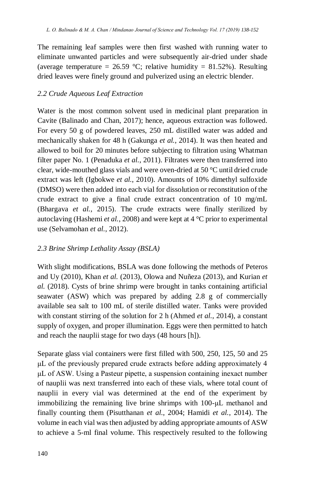The remaining leaf samples were then first washed with running water to eliminate unwanted particles and were subsequently air-dried under shade (average temperature = 26.59 °C; relative humidity = 81.52%). Resulting dried leaves were finely ground and pulverized using an electric blender.

#### *2.2 Crude Aqueous Leaf Extraction*

Water is the most common solvent used in medicinal plant preparation in Cavite (Balinado and Chan, 2017); hence, aqueous extraction was followed. For every 50 g of powdered leaves, 250 mL distilled water was added and mechanically shaken for 48 h (Gakunga *et al.*, 2014). It was then heated and allowed to boil for 20 minutes before subjecting to filtration using Whatman filter paper No. 1 (Penaduka *et al.*, 2011). Filtrates were then transferred into clear, wide-mouthed glass vials and were oven-dried at 50 °C until dried crude extract was left (Igbokwe *et al.*, 2010). Amounts of 10% dimethyl sulfoxide (DMSO) were then added into each vial for dissolution or reconstitution of the crude extract to give a final crude extract concentration of 10 mg/mL (Bhargava *et al.*, 2015). The crude extracts were finally sterilized by autoclaving (Hashemi *et al.*, 2008) and were kept at 4 °C prior to experimental use (Selvamohan *et al.*, 2012).

#### *2.3 Brine Shrimp Lethality Assay (BSLA)*

With slight modifications, BSLA was done following the methods of Peteros and Uy (2010), Khan *et al.* (2013), Olowa and Nuñeza (2013), and Kurian *et al.* (2018). Cysts of brine shrimp were brought in tanks containing artificial seawater (ASW) which was prepared by adding 2.8 g of commercially available sea salt to 100 mL of sterile distilled water. Tanks were provided with constant stirring of the solution for 2 h (Ahmed *et al.*, 2014), a constant supply of oxygen, and proper illumination. Eggs were then permitted to hatch and reach the nauplii stage for two days (48 hours [h]).

Separate glass vial containers were first filled with 500, 250, 125, 50 and 25 μL of the previously prepared crude extracts before adding approximately 4 μL of ASW. Using a Pasteur pipette, a suspension containing inexact number of nauplii was next transferred into each of these vials, where total count of nauplii in every vial was determined at the end of the experiment by immobilizing the remaining live brine shrimps with 100-μL methanol and finally counting them (Pisutthanan *et al.*, 2004; Hamidi *et al.*, 2014). The volume in each vial was then adjusted by adding appropriate amounts of ASW to achieve a 5-ml final volume. This respectively resulted to the following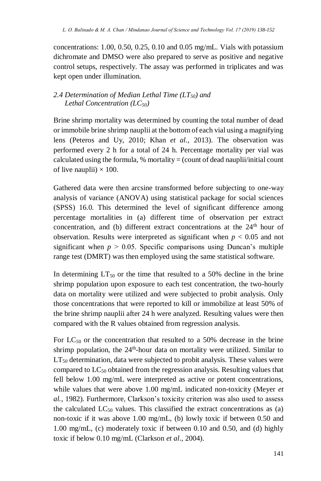concentrations: 1.00, 0.50, 0.25, 0.10 and 0.05 mg/mL. Vials with potassium dichromate and DMSO were also prepared to serve as positive and negative control setups, respectively. The assay was performed in triplicates and was kept open under illumination.

#### *2.4 Determination of Median Lethal Time (LT50) and Lethal Concentration (LC50)*

Brine shrimp mortality was determined by counting the total number of dead or immobile brine shrimp nauplii at the bottom of each vial using a magnifying lens (Peteros and Uy, 2010; Khan *et al.*, 2013). The observation was performed every 2 h for a total of 24 h. Percentage mortality per vial was calculated using the formula,  $%$  mortality = (count of dead nauplii/initial count of live nauplii)  $\times$  100.

Gathered data were then arcsine transformed before subjecting to one-way analysis of variance (ANOVA) using statistical package for social sciences (SPSS) 16.0. This determined the level of significant difference among percentage mortalities in (a) different time of observation per extract concentration, and (b) different extract concentrations at the  $24<sup>th</sup>$  hour of observation. Results were interpreted as significant when  $p < 0.05$  and not significant when  $p > 0.05$ . Specific comparisons using Duncan's multiple range test (DMRT) was then employed using the same statistical software.

In determining  $LT_{50}$  or the time that resulted to a 50% decline in the brine shrimp population upon exposure to each test concentration, the two-hourly data on mortality were utilized and were subjected to probit analysis. Only those concentrations that were reported to kill or immobilize at least 50% of the brine shrimp nauplii after 24 h were analyzed. Resulting values were then compared with the R values obtained from regression analysis.

For  $LC_{50}$  or the concentration that resulted to a 50% decrease in the brine shrimp population, the 24<sup>th</sup>-hour data on mortality were utilized. Similar to  $LT_{50}$  determination, data were subjected to probit analysis. These values were compared to  $LC_{50}$  obtained from the regression analysis. Resulting values that fell below 1.00 mg/mL were interpreted as active or potent concentrations, while values that were above 1.00 mg/mL indicated non-toxicity (Meyer *et al.*, 1982). Furthermore, Clarkson's toxicity criterion was also used to assess the calculated  $LC_{50}$  values. This classified the extract concentrations as (a) non-toxic if it was above 1.00 mg/mL, (b) lowly toxic if between 0.50 and 1.00 mg/mL, (c) moderately toxic if between 0.10 and 0.50, and (d) highly toxic if below 0.10 mg/mL (Clarkson *et al*., 2004).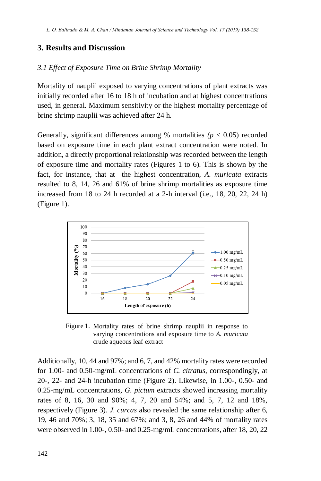#### **3. Results and Discussion**

#### *3.1 Effect of Exposure Time on Brine Shrimp Mortality*

Mortality of nauplii exposed to varying concentrations of plant extracts was initially recorded after 16 to 18 h of incubation and at highest concentrations used, in general. Maximum sensitivity or the highest mortality percentage of brine shrimp nauplii was achieved after 24 h.

Generally, significant differences among % mortalities  $(p < 0.05)$  recorded based on exposure time in each plant extract concentration were noted. In addition, a directly proportional relationship was recorded between the length of exposure time and mortality rates (Figures 1 to 6). This is shown by the fact, for instance, that at the highest concentration, *A. muricata* extracts resulted to 8, 14, 26 and 61% of brine shrimp mortalities as exposure time increased from 18 to 24 h recorded at a 2-h interval (i.e., 18, 20, 22, 24 h) (Figure 1).



Figure 1. Mortality rates of brine shrimp nauplii in response to varying concentrations and exposure time to *A. muricata* crude aqueous leaf extract

Additionally, 10, 44 and 97%; and 6, 7, and 42% mortality rates were recorded for 1.00- and 0.50-mg/mL concentrations of *C. citratus*, correspondingly, at 20-, 22- and 24-h incubation time (Figure 2). Likewise, in 1.00-, 0.50- and 0.25-mg/mL concentrations, *G. pictum* extracts showed increasing mortality rates of 8, 16, 30 and 90%; 4, 7, 20 and 54%; and 5, 7, 12 and 18%, respectively (Figure 3). *J. curcas* also revealed the same relationship after 6, 19, 46 and 70%; 3, 18, 35 and 67%; and 3, 8, 26 and 44% of mortality rates were observed in 1.00-, 0.50- and 0.25-mg/mL concentrations, after 18, 20, 22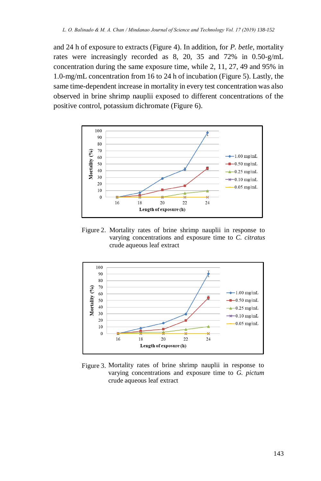and 24 h of exposure to extracts (Figure 4). In addition, for *P. betle*, mortality rates were increasingly recorded as 8, 20, 35 and 72% in 0.50-g/mL concentration during the same exposure time, while 2, 11, 27, 49 and 95% in 1.0-mg/mL concentration from 16 to 24 h of incubation (Figure 5). Lastly, the same time-dependent increase in mortality in every test concentration was also observed in brine shrimp nauplii exposed to different concentrations of the positive control, potassium dichromate (Figure 6).



Figure 2. Mortality rates of brine shrimp nauplii in response to varying concentrations and exposure time to *C. citratus* crude aqueous leaf extract



Figure 3. Mortality rates of brine shrimp nauplii in response to varying concentrations and exposure time to *G. pictum* crude aqueous leaf extract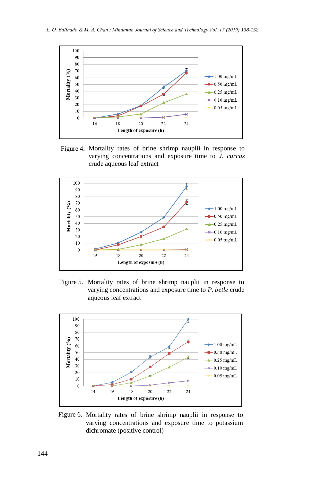

Figure 4. Mortality rates of brine shrimp nauplii in response to varying concentrations and exposure time to *J. curcas*  crude aqueous leaf extract



Figure 5. Mortality rates of brine shrimp nauplii in response to varying concentrations and exposure time to *P. betle* crude aqueous leaf extract



Figure 6. Mortality rates of brine shrimp nauplii in response to varying concentrations and exposure time to potassium dichromate (positive control)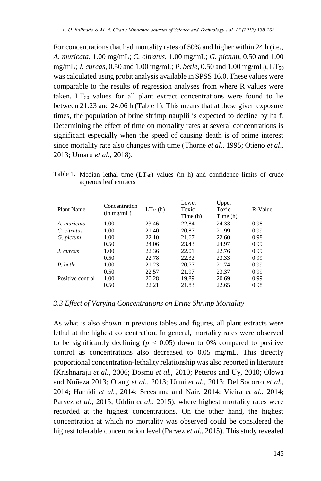For concentrations that had mortality rates of 50% and higher within 24 h (i.e., *A. muricata*, 1.00 mg/mL; *C. citratus*, 1.00 mg/mL; *G. pictum*, 0.50 and 1.00 mg/mL; *J. curcas*, 0.50 and 1.00 mg/mL; *P. betle*, 0.50 and 1.00 mg/mL), LT<sub>50</sub> was calculated using probit analysis available in SPSS 16.0. These values were comparable to the results of regression analyses from where R values were taken.  $LT_{50}$  values for all plant extract concentrations were found to lie between 21.23 and 24.06 h (Table 1). This means that at these given exposure times, the population of brine shrimp nauplii is expected to decline by half. Determining the effect of time on mortality rates at several concentrations is significant especially when the speed of causing death is of prime interest since mortality rate also changes with time (Thorne *et al.*, 1995; Otieno *et al*., 2013; Umaru *et al.*, 2018).

| Plant Name       | Concentration<br>(in mg/mL) | $LT_{50}$ (h) | Lower<br>Toxic<br>Time (h) | Upper<br>Toxic<br>Time (h) | R-Value |
|------------------|-----------------------------|---------------|----------------------------|----------------------------|---------|
| A. muricata      | 1.00                        | 23.46         | 22.84                      | 24.33                      | 0.98    |
| C. citratus      | 1.00                        | 21.40         | 20.87                      | 21.99                      | 0.99    |
| G. pictum        | 1.00                        | 22.10         | 21.67                      | 22.60                      | 0.98    |
|                  | 0.50                        | 24.06         | 23.43                      | 24.97                      | 0.99    |
| J. curcas        | 1.00                        | 22.36         | 22.01                      | 22.76                      | 0.99    |
|                  | 0.50                        | 22.78         | 22.32                      | 23.33                      | 0.99    |
| P. betle         | 1.00                        | 21.23         | 20.77                      | 21.74                      | 0.99    |
|                  | 0.50                        | 22.57         | 21.97                      | 23.37                      | 0.99    |
| Positive control | 1.00                        | 20.28         | 19.89                      | 20.69                      | 0.99    |
|                  | 0.50                        | 22.21         | 21.83                      | 22.65                      | 0.98    |

Table 1. Median lethal time  $(LT_{50})$  values (in h) and confidence limits of crude aqueous leaf extracts

#### *3.3 Effect of Varying Concentrations on Brine Shrimp Mortality*

As what is also shown in previous tables and figures, all plant extracts were lethal at the highest concentration. In general, mortality rates were observed to be significantly declining ( $p < 0.05$ ) down to 0% compared to positive control as concentrations also decreased to 0.05 mg/mL. This directly proportional concentration-lethality relationship was also reported in literature (Krishnaraju *et al.*, 2006; Dosmu *et al.*, 2010; Peteros and Uy, 2010; Olowa and Nuñeza 2013; Otang *et al.*, 2013; Urmi *et al.*, 2013; Del Socorro *et al.*, 2014; Hamidi *et al.*, 2014; Sreeshma and Nair, 2014; Vieira *et al.*, 2014; Parvez *et al.*, 2015; Uddin *et al.*, 2015), where highest mortality rates were recorded at the highest concentrations. On the other hand, the highest concentration at which no mortality was observed could be considered the highest tolerable concentration level (Parvez *et al.*, 2015). This study revealed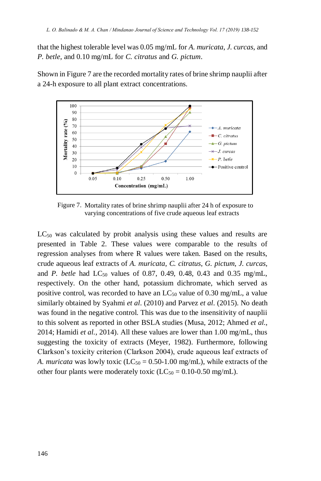that the highest tolerable level was 0.05 mg/mL for *A. muricata*, *J. curcas*, and *P. betle*, and 0.10 mg/mL for *C. citratus* and *G. pictum*.

Shown in Figure 7 are the recorded mortality rates of brine shrimp nauplii after a 24-h exposure to all plant extract concentrations.



Figure 7. Mortality rates of brine shrimp nauplii after 24 h of exposure to varying concentrations of five crude aqueous leaf extracts

 $LC_{50}$  was calculated by probit analysis using these values and results are presented in Table 2. These values were comparable to the results of regression analyses from where R values were taken. Based on the results, crude aqueous leaf extracts of *A. muricata*, *C. citratus*, *G. pictum*, *J. curcas*, and *P. betle* had LC<sub>50</sub> values of 0.87, 0.49, 0.48, 0.43 and 0.35 mg/mL, respectively. On the other hand, potassium dichromate, which served as positive control, was recorded to have an  $LC_{50}$  value of 0.30 mg/mL, a value similarly obtained by Syahmi *et al*. (2010) and Parvez *et al*. (2015). No death was found in the negative control. This was due to the insensitivity of nauplii to this solvent as reported in other BSLA studies (Musa, 2012; Ahmed *et al.*, 2014; Hamidi *et al.*, 2014). All these values are lower than 1.00 mg/mL, thus suggesting the toxicity of extracts (Meyer, 1982). Furthermore, following Clarkson's toxicity criterion (Clarkson 2004), crude aqueous leaf extracts of *A. muricata* was lowly toxic ( $LC_{50} = 0.50$ -1.00 mg/mL), while extracts of the other four plants were moderately toxic  $(LC_{50} = 0.10{\text -}0.50 \text{ mg/mL})$ .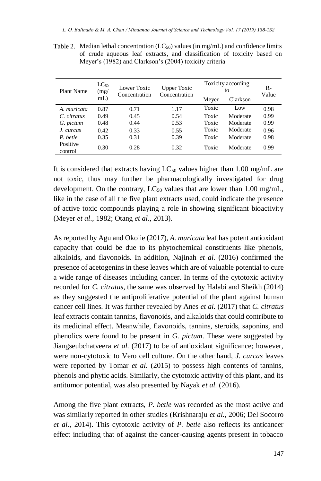| Plant Name          | $LC_{50}$<br>(mg) | Lower Toxic<br>Concentration | <b>Upper Toxic</b><br>Concentration | Toxicity according<br>to |          | $R-$<br>Value |
|---------------------|-------------------|------------------------------|-------------------------------------|--------------------------|----------|---------------|
|                     | $mL$ )            |                              |                                     | Meyer                    | Clarkson |               |
| A muricata          | 0.87              | 0.71                         | 1.17                                | Toxic                    | Low      | 0.98          |
| C. citratus         | 0.49              | 0.45                         | 0.54                                | Toxic                    | Moderate | 0.99          |
| G. pictum           | 0.48              | 0.44                         | 0.53                                | Toxic                    | Moderate | 0.99          |
| J. curcas           | 0.42              | 0.33                         | 0.55                                | Toxic                    | Moderate | 0.96          |
| P. betle            | 0.35              | 0.31                         | 0.39                                | Toxic                    | Moderate | 0.98          |
| Positive<br>control | 0.30              | 0.28                         | 0.32                                | Toxic                    | Moderate | 0.99          |

Table 2. Median lethal concentration  $(LC_{50})$  values (in mg/mL) and confidence limits of crude aqueous leaf extracts, and classification of toxicity based on Meyer's (1982) and Clarkson's (2004) toxicity criteria

It is considered that extracts having  $LC_{50}$  values higher than 1.00 mg/mL are not toxic, thus may further be pharmacologically investigated for drug development. On the contrary,  $LC_{50}$  values that are lower than 1.00 mg/mL, like in the case of all the five plant extracts used, could indicate the presence of active toxic compounds playing a role in showing significant bioactivity (Meyer *et al*., 1982; Otang *et al*., 2013).

As reported by Agu and Okolie (2017), *A. muricata* leaf has potent antioxidant capacity that could be due to its phytochemical constituents like phenols, alkaloids, and flavonoids. In addition, Najinah *et al.* (2016) confirmed the presence of acetogenins in these leaves which are of valuable potential to cure a wide range of diseases including cancer. In terms of the cytotoxic activity recorded for *C. citratus*, the same was observed by Halabi and Sheikh (2014) as they suggested the antiproliferative potential of the plant against human cancer cell lines. It was further revealed by Anes *et al.* (2017) that *C. citratus*  leaf extracts contain tannins, flavonoids, and alkaloids that could contribute to its medicinal effect. Meanwhile, flavonoids, tannins, steroids, saponins, and phenolics were found to be present in *G. pictum*. These were suggested by Jiangseubchatveera *et al.* (2017) to be of antioxidant significance; however, were non-cytotoxic to Vero cell culture. On the other hand, *J. curcas* leaves were reported by Tomar *et al.* (2015) to possess high contents of tannins, phenols and phytic acids. Similarly, the cytotoxic activity of this plant, and its antitumor potential, was also presented by Nayak *et al.* (2016).

Among the five plant extracts, *P. betle* was recorded as the most active and was similarly reported in other studies (Krishnaraju *et al.*, 2006; Del Socorro *et al.*, 2014). This cytotoxic activity of *P. betle* also reflects its anticancer effect including that of against the cancer-causing agents present in tobacco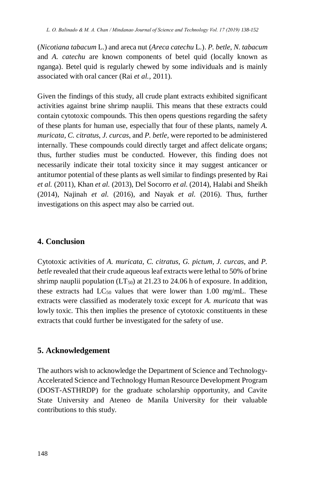(*Nicotiana tabacum* L.) and areca nut (*Areca catechu* L.). *P. betle*, *N. tabacum* and *A. catechu* are known components of betel quid (locally known as nganga). Betel quid is regularly chewed by some individuals and is mainly associated with oral cancer (Rai *et al.*, 2011).

Given the findings of this study, all crude plant extracts exhibited significant activities against brine shrimp nauplii. This means that these extracts could contain cytotoxic compounds. This then opens questions regarding the safety of these plants for human use, especially that four of these plants, namely *A. muricata*, *C. citratus*, *J. curcas*, and *P. betle,* were reported to be administered internally. These compounds could directly target and affect delicate organs; thus, further studies must be conducted. However, this finding does not necessarily indicate their total toxicity since it may suggest anticancer or antitumor potential of these plants as well similar to findings presented by Rai *et al.* (2011), Khan *et al.* (2013), Del Socorro *et al.* (2014), Halabi and Sheikh (2014), Najinah *et al.* (2016), and Nayak *et al.* (2016). Thus, further investigations on this aspect may also be carried out.

### **4. Conclusion**

Cytotoxic activities of *A. muricata*, *C. citratus*, *G. pictum, J. curcas*, and *P. betle* revealed that their crude aqueous leaf extracts were lethal to 50% of brine shrimp nauplii population  $(LT_{50})$  at 21.23 to 24.06 h of exposure. In addition, these extracts had  $LC_{50}$  values that were lower than 1.00 mg/mL. These extracts were classified as moderately toxic except for *A. muricata* that was lowly toxic. This then implies the presence of cytotoxic constituents in these extracts that could further be investigated for the safety of use.

#### **5. Acknowledgement**

The authors wish to acknowledge the Department of Science and Technology-Accelerated Science and Technology Human Resource Development Program (DOST-ASTHRDP) for the graduate scholarship opportunity, and Cavite State University and Ateneo de Manila University for their valuable contributions to this study.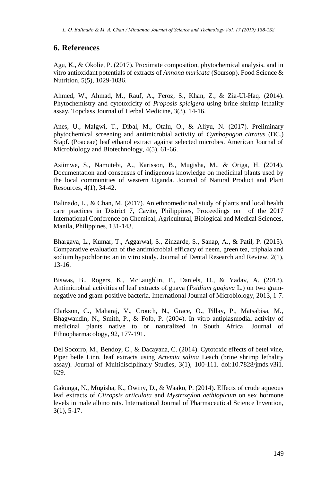#### **6. References**

Agu, K., & Okolie, P. (2017). Proximate composition, phytochemical analysis, and in vitro antioxidant potentials of extracts of *Annona muricata* (Soursop). Food Science & Nutrition, 5(5), 1029-1036.

Ahmed, W., Ahmad, M., Rauf, A., Feroz, S., Khan, Z., & Zia-Ul-Haq. (2014). Phytochemistry and cytotoxicity of *Proposis spicigera* using brine shrimp lethality assay. Topclass Journal of Herbal Medicine, 3(3), 14-16.

Anes, U., Malgwi, T., Dibal, M., Otalu, O., & Aliyu, N. (2017). Preliminary phytochemical screening and antimicrobial activity of *Cymbopogon citratus* (DC.) Stapf. (Poaceae) leaf ethanol extract against selected microbes. American Journal of Microbiology and Biotechnology, 4(5), 61-66.

Asiimwe, S., Namutebi, A., Karisson, B., Mugisha, M., & Origa, H. (2014). Documentation and consensus of indigenous knowledge on medicinal plants used by the local communities of western Uganda. Journal of Natural Product and Plant Resources, 4(1), 34-42.

Balinado, L., & Chan, M. (2017). An ethnomedicinal study of plants and local health care practices in District 7, Cavite, Philippines, Proceedings on of the 2017 International Conference on Chemical, Agricultural, Biological and Medical Sciences, Manila, Philippines, 131-143.

Bhargava, L., Kumar, T., Aggarwal, S., Zinzarde, S., Sanap, A., & Patil, P. (2015). Comparative evaluation of the antimicrobial efficacy of neem, green tea, triphala and sodium hypochlorite: an in vitro study. Journal of Dental Research and Review, 2(1), 13-16.

Biswas, B., Rogers, K., McLaughlin, F., Daniels, D., & Yadav, A. (2013). Antimicrobial activities of leaf extracts of guava (*Psidium guajava* L.) on two gramnegative and gram-positive bacteria. International Journal of Microbiology, 2013, 1-7.

Clarkson, C., Maharaj, V., Crouch, N., Grace, O., Pillay, P., Matsabisa, M., Bhagwandin, N., Smith, P., & Folb, P. (2004). In vitro antiplasmodial activity of medicinal plants native to or naturalized in South Africa. Journal of Ethnopharmacology, 92, 177-191.

Del Socorro, M., Bendoy, C., & Dacayana, C. (2014). Cytotoxic effects of betel vine, Piper betle Linn. leaf extracts using *Artemia salina* Leach (brine shrimp lethality assay). Journal of Multidisciplinary Studies, 3(1), 100-111. doi:10.7828/jmds.v3i1. 629.

Gakunga, N., Mugisha, K., Owiny, D., & Waako, P. (2014). Effects of crude aqueous leaf extracts of *Citropsis articulata* and *Mystroxylon aethiopicum* on sex hormone levels in male albino rats. International Journal of Pharmaceutical Science Invention, 3(1), 5-17.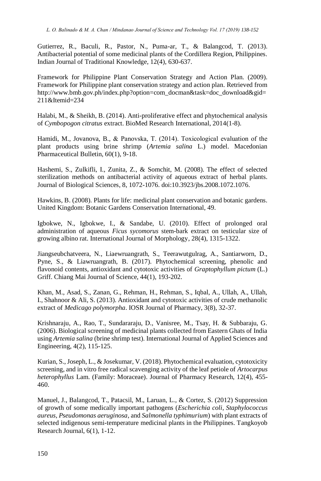Gutierrez, R., Baculi, R., Pastor, N., Puma-ar, T., & Balangcod, T. (2013). Antibacterial potential of some medicinal plants of the Cordillera Region, Philippines. Indian Journal of Traditional Knowledge, 12(4), 630-637.

Framework for Philippine Plant Conservation Strategy and Action Plan. (2009). Framework for Philippine plant conservation strategy and action plan. Retrieved from http://www.bmb.gov.ph/index.php?option=com\_docman&task=doc\_download&gid= 211&Itemid=234

Halabi, M., & Sheikh, B. (2014). Anti-proliferative effect and phytochemical analysis of *Cymbopogon citratus* extract. BioMed Research International, 2014(1-8).

Hamidi, M., Jovanova, B., & Panovska, T. (2014). Toxicоlogical evaluation of the plant products using brine shrimp (*Artemia salina* L.) model. Macedonian Pharmaceutical Bulletin, 60(1), 9-18.

Hashemi, S., Zulkifli, I., Zunita, Z., & Somchit, M. (2008). The effect of selected sterilization methods on antibacterial activity of aqueous extract of herbal plants. Journal of Biological Sciences, 8, 1072-1076. doi:10.3923/jbs.2008.1072.1076.

Hawkins, B. (2008). Plants for life: medicinal plant conservation and botanic gardens. United Kingdom: Botanic Gardens Conservation International, 49.

Igbokwe, N., Igbokwe, I., & Sandabe, U. (2010). Effect of prolonged oral administration of aqueous *Ficus sycomorus* stem-bark extract on testicular size of growing albino rat. International Journal of Morphology, 28(4), 1315-1322.

Jiangseubchatveera, N., Liaewruangrath, S., Teerawutgulrag, A., Santiarworn, D., Pyne, S., & Liawruangrath, B. (2017). Phytochemical screening, phenolic and flavonoid contents, antioxidant and cytotoxic activities of *Graptophyllum pictum* (L.) Griff. Chiang Mai Journal of Science, 44(1), 193-202.

Khan, M., Asad, S., Zanan, G., Rehman, H., Rehman, S., Iqbal, A., Ullah, A., Ullah, I., Shahnoor & Ali, S. (2013). Antioxidant and cytotoxic activities of crude methanolic extract of *Medicago polymorpha*. IOSR Journal of Pharmacy, 3(8), 32-37.

Krishnaraju, A., Rao, T., Sundararaju, D., Vanisree, M., Tsay, H. & Subbaraju, G. (2006). Biological screening of medicinal plants collected from Eastern Ghats of India using *Artemia salina* (brine shrimp test). International Journal of Applied Sciences and Engineering, 4(2), 115-125.

Kurian, S., Joseph, L., & Josekumar, V. (2018). Phytochemical evaluation, cytotoxicity screening, and in vitro free radical scavenging activity of the leaf petiole of *Artocarpus heterophyllus* Lam. (Family: Moraceae). Journal of Pharmacy Research, 12(4), 455- 460.

Manuel, J., Balangcod, T., Patacsil, M., Laruan, L., & Cortez, S. (2012) Suppression of growth of some medically important pathogens (*Escherichia coli*, *Staphylococcus aureus*, *Pseudomonas aeruginosa*, and *Salmonella typhimurium*) with plant extracts of selected indigenous semi-temperature medicinal plants in the Philippines. Tangkoyob Research Journal, 6(1), 1-12.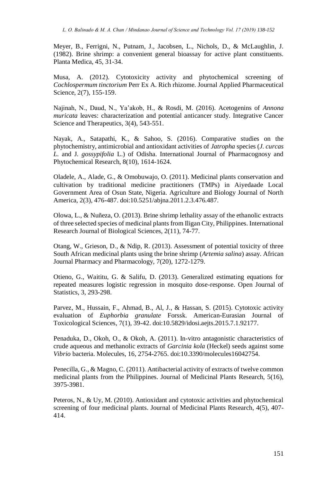Meyer, B., Ferrigni, N., Putnam, J., Jacobsen, L., Nichols, D., & McLaughlin, J. (1982). Brine shrimp: a convenient general bioassay for active plant constituents. Planta Medica, 45, 31-34.

Musa, A. (2012). Cytotoxicity activity and phytochemical screening of *Cochlospermum tinctorium* Perr Ex A. Rich rhizome. Journal Applied Pharmaceutical Science, 2(7), 155-159.

Najinah, N., Daud, N., Ya'akob, H., & Rosdi, M. (2016). Acetogenins of *Annona muricata* leaves: characterization and potential anticancer study. Integrative Cancer Science and Therapeutics, 3(4), 543-551.

Nayak, A., Satapathi, K., & Sahoo, S. (2016). Comparative studies on the phytochemistry, antimicrobial and antioxidant activities of *Jatropha* species (*J. curcas L.* and J*. gossypifolia* L.) of Odisha. International Journal of Pharmacognosy and Phytochemical Research, 8(10), 1614-1624.

Oladele, A., Alade, G., & Omobuwajo, O. (2011). Medicinal plants conservation and cultivation by traditional medicine practitioners (TMPs) in Aiyedaade Local Government Area of Osun State, Nigeria. Agriculture and Biology Journal of North America, 2(3), 476-487. doi:10.5251/abjna.2011.2.3.476.487.

Olowa, L., & Nuñeza, O. (2013). Brine shrimp lethality assay of the ethanolic extracts of three selected species of medicinal plants from Iligan City, Philippines. International Research Journal of Biological Sciences, 2(11), 74-77.

Otang, W., Grieson, D., & Ndip, R. (2013). Assessment of potential toxicity of three South African medicinal plants using the brine shrimp (*Artemia salina*) assay. African Journal Pharmacy and Pharmacology, 7(20), 1272-1279.

Otieno, G., Waititu, G. & Salifu, D. (2013). Generalized estimating equations for repeated measures logistic regression in mosquito dose-response. Open Journal of Statistics, 3, 293-298.

Parvez, M., Hussain, F., Ahmad, B., Al, J., & Hassan, S. (2015). Cytotoxic activity evaluation of *Euphorbia granulate* Forssk. American-Eurasian Journal of Toxicological Sciences, 7(1), 39-42. doi:10.5829/idosi.aejts.2015.7.1.92177.

Penaduka, D., Okoh, O., & Okoh, A. (2011). In-vitro antagonistic characteristics of crude aqueous and methanolic extracts of *Garcinia kola* (Heckel) seeds against some *Vibrio* bacteria. Molecules, 16, 2754-2765. doi:10.3390/molecules16042754.

Penecilla, G., & Magno, C. (2011). Antibacterial activity of extracts of twelve common medicinal plants from the Philippines. Journal of Medicinal Plants Research, 5(16), 3975-3981.

Peteros, N., & Uy, M. (2010). Antioxidant and cytotoxic activities and phytochemical screening of four medicinal plants. Journal of Medicinal Plants Research, 4(5), 407- 414.